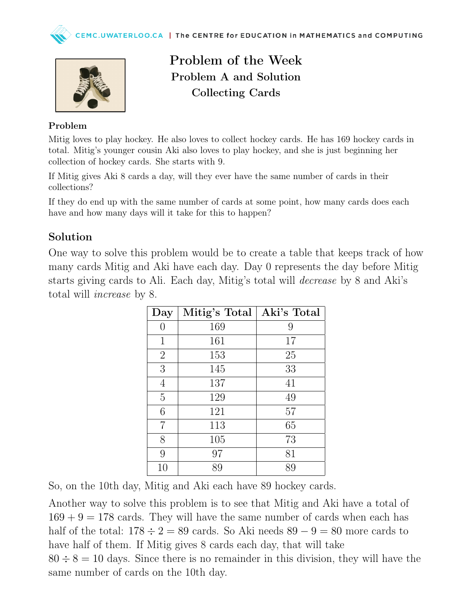

## Problem of the Week Problem A and Solution Collecting Cards

#### Problem

Mitig loves to play hockey. He also loves to collect hockey cards. He has 169 hockey cards in total. Mitig's younger cousin Aki also loves to play hockey, and she is just beginning her collection of hockey cards. She starts with 9.

If Mitig gives Aki 8 cards a day, will they ever have the same number of cards in their collections?

If they do end up with the same number of cards at some point, how many cards does each have and how many days will it take for this to happen?

#### Solution

One way to solve this problem would be to create a table that keeps track of how many cards Mitig and Aki have each day. Day 0 represents the day before Mitig starts giving cards to Ali. Each day, Mitig's total will decrease by 8 and Aki's total will increase by 8.

| Day            | Mitig's Total | Aki's Total |
|----------------|---------------|-------------|
| 0              | 169           | 9           |
| $\mathbf 1$    | 161           | 17          |
| $\overline{2}$ | 153           | 25          |
| 3              | 145           | 33          |
| 4              | 137           | 41          |
| $\overline{5}$ | 129           | 49          |
| 6              | 121           | 57          |
| 7              | 113           | 65          |
| 8              | 105           | 73          |
| 9              | 97            | 81          |
| 10             | 89            | 89          |

So, on the 10th day, Mitig and Aki each have 89 hockey cards.

Another way to solve this problem is to see that Mitig and Aki have a total of  $169 + 9 = 178$  cards. They will have the same number of cards when each has half of the total:  $178 \div 2 = 89$  cards. So Aki needs  $89 - 9 = 80$  more cards to have half of them. If Mitig gives 8 cards each day, that will take  $80 \div 8 = 10$  days. Since there is no remainder in this division, they will have the same number of cards on the 10th day.